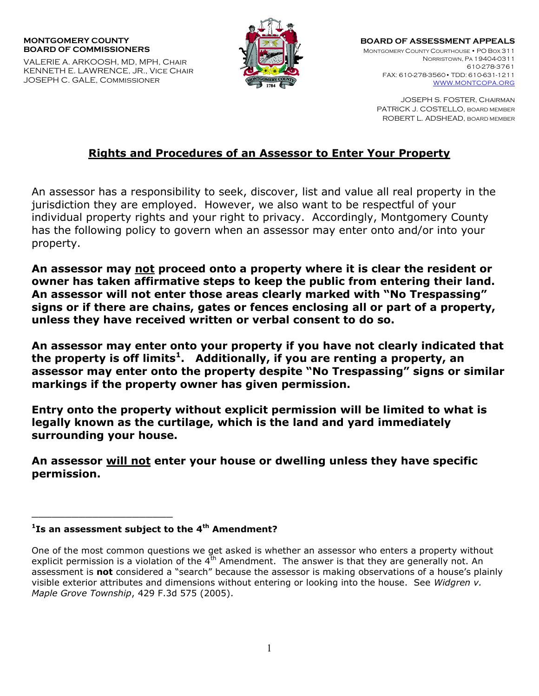## **MONTGOMERY COUNTY BOARD OF COMMISSIONERS**

VALERIE A. ARKOOSH, MD, MPH, Chair KENNETH E. LAWRENCE, JR., Vice Chair JOSEPH C. GALE, Commissioner



**BOARD OF ASSESSMENT APPEALS** MONTGOMERY COUNTY COURTHOUSE • PO BOX 311 NORRISTOWN, PA 19404-0311 610-278-3761 FAX: 610-278-3560• TDD: 610-631-1211 [WWW.MONTCOPA.ORG](http://www.montcopa.org/)

JOSEPH S. FOSTER, Chairman PATRICK J. COSTELLO, BOARD MEMBER ROBERT L. ADSHEAD, BOARD MEMBER

## **Rights and Procedures of an Assessor to Enter Your Property**

An assessor has a responsibility to seek, discover, list and value all real property in the jurisdiction they are employed. However, we also want to be respectful of your individual property rights and your right to privacy. Accordingly, Montgomery County has the following policy to govern when an assessor may enter onto and/or into your property.

**An assessor may not proceed onto a property where it is clear the resident or owner has taken affirmative steps to keep the public from entering their land. An assessor will not enter those areas clearly marked with "No Trespassing" signs or if there are chains, gates or fences enclosing all or part of a property, unless they have received written or verbal consent to do so.** 

**An assessor may enter onto your property if you have not clearly indicated that the property is off limits<sup>1</sup> . Additionally, if you are renting a property, an assessor may enter onto the property despite "No Trespassing" signs or similar markings if the property owner has given permission.** 

**Entry onto the property without explicit permission will be limited to what is legally known as the curtilage, which is the land and yard immediately surrounding your house.** 

**An assessor will not enter your house or dwelling unless they have specific permission.**

\_\_\_\_\_\_\_\_\_\_\_\_\_\_\_\_\_\_\_\_\_

**<sup>1</sup> Is an assessment subject to the 4th Amendment?** 

One of the most common questions we get asked is whether an assessor who enters a property without explicit permission is a violation of the  $4^{\overline{t}h}$  Amendment. The answer is that they are generally not. An assessment is **not** considered a "search" because the assessor is making observations of a house's plainly visible exterior attributes and dimensions without entering or looking into the house. See *Widgren v. Maple Grove Township*, 429 F.3d 575 (2005).